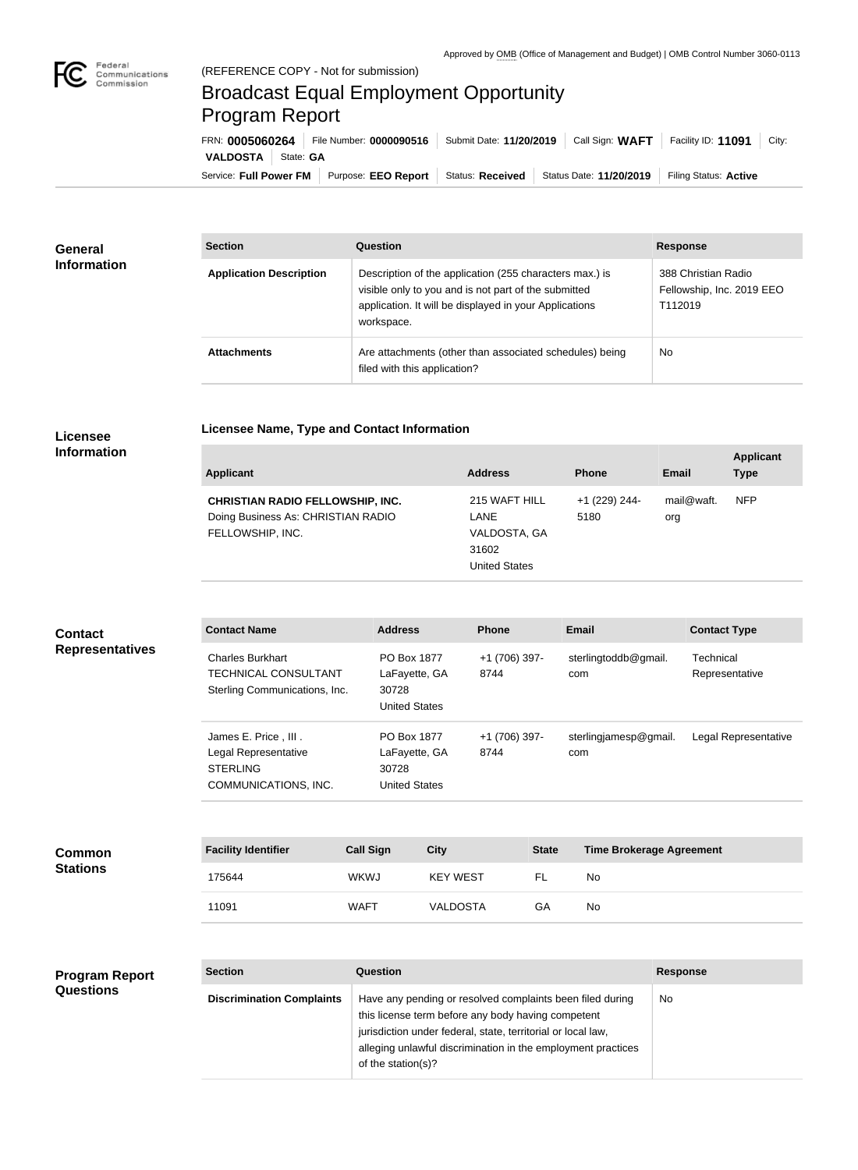

## Broadcast Equal Employment Opportunity Program Report

**Licensee Name, Type and Contact Information**

Service: Full Power FM Purpose: EEO Report | Status: Received | Status Date: 11/20/2019 | Filing Status: Active **VALDOSTA** | State: **GA** FRN: **0005060264** File Number: **0000090516** Submit Date: **11/20/2019** Call Sign: **WAFT** Facility ID: **11091** City:

| <b>General</b><br><b>Information</b> | <b>Section</b>                 | <b>Question</b>                                                                                                                                                                         | <b>Response</b>                                             |
|--------------------------------------|--------------------------------|-----------------------------------------------------------------------------------------------------------------------------------------------------------------------------------------|-------------------------------------------------------------|
|                                      | <b>Application Description</b> | Description of the application (255 characters max.) is<br>visible only to you and is not part of the submitted<br>application. It will be displayed in your Applications<br>workspace. | 388 Christian Radio<br>Fellowship, Inc. 2019 EEO<br>T112019 |
|                                      | <b>Attachments</b>             | Are attachments (other than associated schedules) being<br>filed with this application?                                                                                                 | <b>No</b>                                                   |

## **Licensee Information**

| <b>Applicant</b>                                                                                  | <b>Address</b>                                                         | <b>Phone</b>          | Email             | <b>Applicant</b><br><b>Type</b> |
|---------------------------------------------------------------------------------------------------|------------------------------------------------------------------------|-----------------------|-------------------|---------------------------------|
| <b>CHRISTIAN RADIO FELLOWSHIP, INC.</b><br>Doing Business As: CHRISTIAN RADIO<br>FELLOWSHIP, INC. | 215 WAFT HILL<br>LANE<br>VALDOSTA, GA<br>31602<br><b>United States</b> | +1 (229) 244-<br>5180 | mail@waft.<br>org | <b>NFP</b>                      |

## **Contact Name Address Phone Email Contact Type** Charles Burkhart TECHNICAL CONSULTANT Sterling Communications, Inc. PO Box 1877 LaFayette, GA 30728 United States +1 (706) 397- 8744 sterlingtoddb@gmail. com **Technical** Representative James E. Price , III . Legal Representative STERLING COMMUNICATIONS, INC. PO Box 1877 LaFayette, GA 30728 United States +1 (706) 397- 8744 sterlingjamesp@gmail. com Legal Representative **Contact Representatives**

| <b>Common</b><br><b>Stations</b> | <b>Facility Identifier</b> | <b>Call Sign</b> | <b>City</b>     | <b>State</b> | <b>Time Brokerage Agreement</b> |
|----------------------------------|----------------------------|------------------|-----------------|--------------|---------------------------------|
|                                  | 175644                     | <b>WKWJ</b>      | <b>KEY WEST</b> |              | No                              |
|                                  | 11091                      | WAFT             | <b>VALDOSTA</b> | GА           | No                              |

## **Program Report Questions**

| <b>Section</b>                   | Question                                                                                                                                                                                                                                                              | <b>Response</b> |
|----------------------------------|-----------------------------------------------------------------------------------------------------------------------------------------------------------------------------------------------------------------------------------------------------------------------|-----------------|
| <b>Discrimination Complaints</b> | Have any pending or resolved complaints been filed during<br>this license term before any body having competent<br>jurisdiction under federal, state, territorial or local law,<br>alleging unlawful discrimination in the employment practices<br>of the station(s)? | No              |